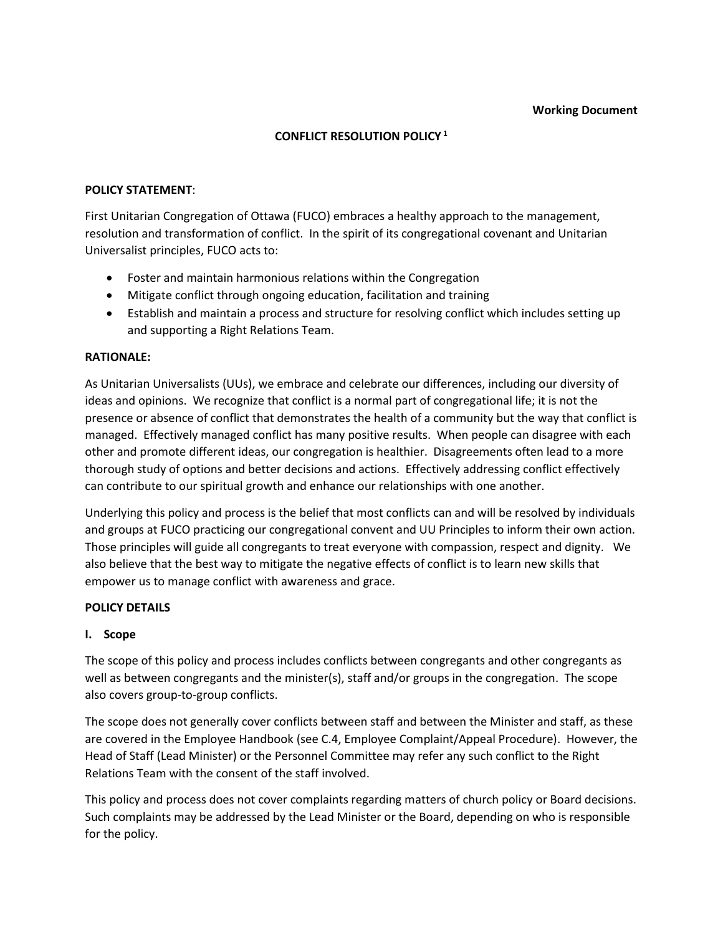#### **Working Document**

# **CONFLICT RESOLUTION POLICY <sup>1</sup>**

#### **POLICY STATEMENT**:

First Unitarian Congregation of Ottawa (FUCO) embraces a healthy approach to the management, resolution and transformation of conflict. In the spirit of its congregational covenant and Unitarian Universalist principles, FUCO acts to:

- Foster and maintain harmonious relations within the Congregation
- Mitigate conflict through ongoing education, facilitation and training
- Establish and maintain a process and structure for resolving conflict which includes setting up and supporting a Right Relations Team.

#### **RATIONALE:**

As Unitarian Universalists (UUs), we embrace and celebrate our differences, including our diversity of ideas and opinions. We recognize that conflict is a normal part of congregational life; it is not the presence or absence of conflict that demonstrates the health of a community but the way that conflict is managed. Effectively managed conflict has many positive results. When people can disagree with each other and promote different ideas, our congregation is healthier. Disagreements often lead to a more thorough study of options and better decisions and actions. Effectively addressing conflict effectively can contribute to our spiritual growth and enhance our relationships with one another.

Underlying this policy and process is the belief that most conflicts can and will be resolved by individuals and groups at FUCO practicing our congregational convent and UU Principles to inform their own action. Those principles will guide all congregants to treat everyone with compassion, respect and dignity. We also believe that the best way to mitigate the negative effects of conflict is to learn new skills that empower us to manage conflict with awareness and grace.

#### **POLICY DETAILS**

# **I. Scope**

The scope of this policy and process includes conflicts between congregants and other congregants as well as between congregants and the minister(s), staff and/or groups in the congregation. The scope also covers group-to-group conflicts.

The scope does not generally cover conflicts between staff and between the Minister and staff, as these are covered in the Employee Handbook (see C.4, Employee Complaint/Appeal Procedure). However, the Head of Staff (Lead Minister) or the Personnel Committee may refer any such conflict to the Right Relations Team with the consent of the staff involved.

This policy and process does not cover complaints regarding matters of church policy or Board decisions. Such complaints may be addressed by the Lead Minister or the Board, depending on who is responsible for the policy.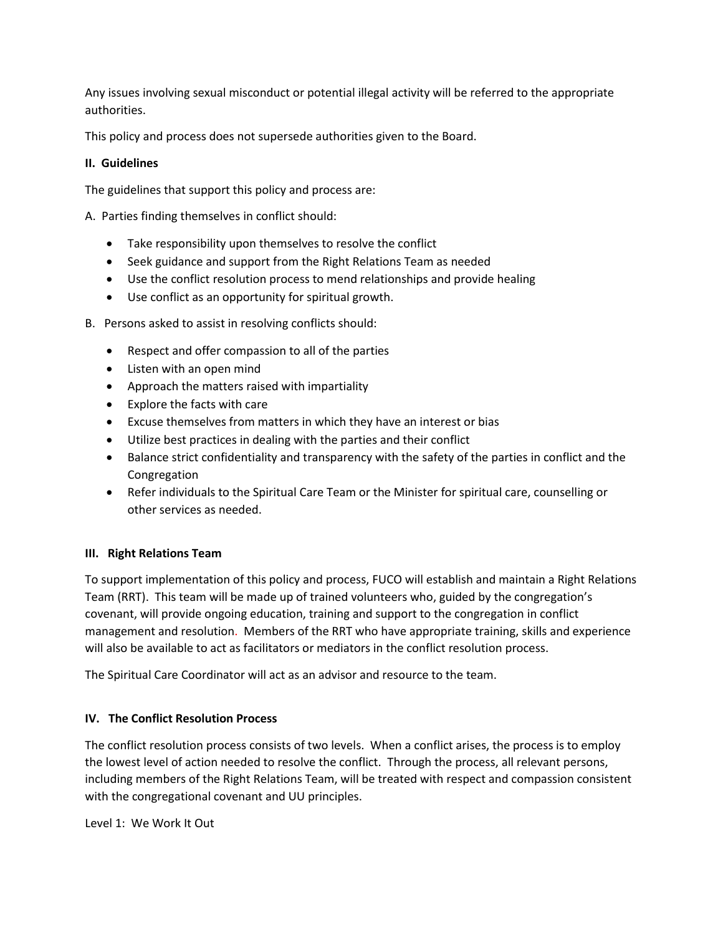Any issues involving sexual misconduct or potential illegal activity will be referred to the appropriate authorities.

This policy and process does not supersede authorities given to the Board.

# **II. Guidelines**

The guidelines that support this policy and process are:

A. Parties finding themselves in conflict should:

- Take responsibility upon themselves to resolve the conflict
- Seek guidance and support from the Right Relations Team as needed
- Use the conflict resolution process to mend relationships and provide healing
- Use conflict as an opportunity for spiritual growth.
- B. Persons asked to assist in resolving conflicts should:
	- Respect and offer compassion to all of the parties
	- Listen with an open mind
	- Approach the matters raised with impartiality
	- Explore the facts with care
	- Excuse themselves from matters in which they have an interest or bias
	- Utilize best practices in dealing with the parties and their conflict
	- Balance strict confidentiality and transparency with the safety of the parties in conflict and the Congregation
	- Refer individuals to the Spiritual Care Team or the Minister for spiritual care, counselling or other services as needed.

# **III. Right Relations Team**

To support implementation of this policy and process, FUCO will establish and maintain a Right Relations Team (RRT). This team will be made up of trained volunteers who, guided by the congregation's covenant, will provide ongoing education, training and support to the congregation in conflict management and resolution. Members of the RRT who have appropriate training, skills and experience will also be available to act as facilitators or mediators in the conflict resolution process.

The Spiritual Care Coordinator will act as an advisor and resource to the team.

# **IV. The Conflict Resolution Process**

The conflict resolution process consists of two levels. When a conflict arises, the process is to employ the lowest level of action needed to resolve the conflict. Through the process, all relevant persons, including members of the Right Relations Team, will be treated with respect and compassion consistent with the congregational covenant and UU principles.

Level 1: We Work It Out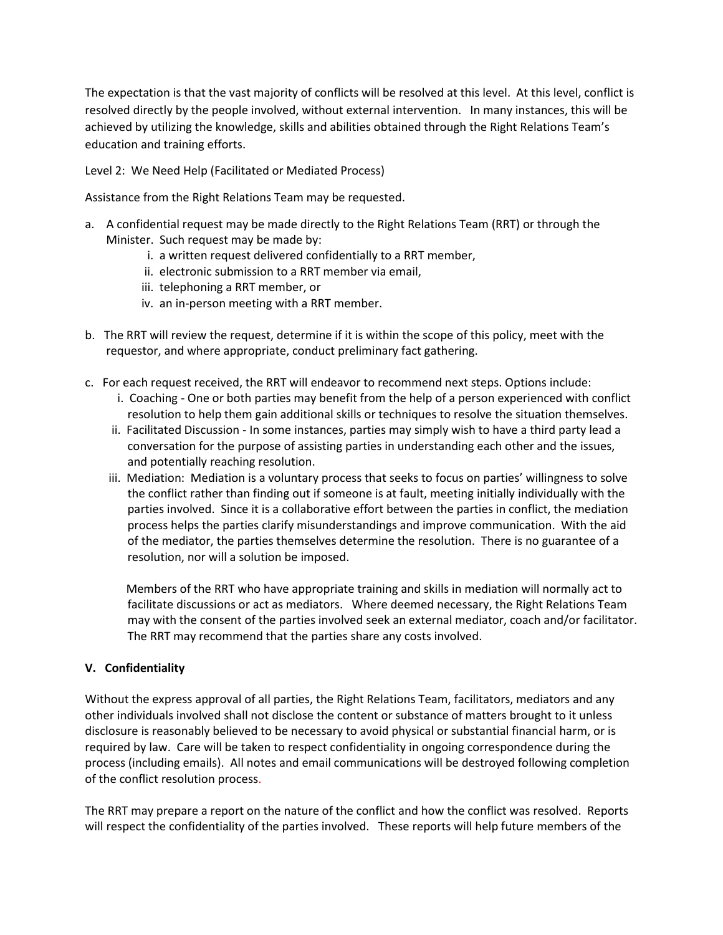The expectation is that the vast majority of conflicts will be resolved at this level. At this level, conflict is resolved directly by the people involved, without external intervention. In many instances, this will be achieved by utilizing the knowledge, skills and abilities obtained through the Right Relations Team's education and training efforts.

Level 2: We Need Help (Facilitated or Mediated Process)

Assistance from the Right Relations Team may be requested.

- a. A confidential request may be made directly to the Right Relations Team (RRT) or through the Minister. Such request may be made by:
	- i. a written request delivered confidentially to a RRT member,
	- ii. electronic submission to a RRT member via email,
	- iii. telephoning a RRT member, or
	- iv. an in-person meeting with a RRT member.
- b. The RRT will review the request, determine if it is within the scope of this policy, meet with the requestor, and where appropriate, conduct preliminary fact gathering.
- c. For each request received, the RRT will endeavor to recommend next steps. Options include:
	- i. Coaching One or both parties may benefit from the help of a person experienced with conflict resolution to help them gain additional skills or techniques to resolve the situation themselves.
	- ii. Facilitated Discussion In some instances, parties may simply wish to have a third party lead a conversation for the purpose of assisting parties in understanding each other and the issues, and potentially reaching resolution.
	- iii. Mediation: Mediation is a voluntary process that seeks to focus on parties' willingness to solve the conflict rather than finding out if someone is at fault, meeting initially individually with the parties involved. Since it is a collaborative effort between the parties in conflict, the mediation process helps the parties clarify misunderstandings and improve communication. With the aid of the mediator, the parties themselves determine the resolution. There is no guarantee of a resolution, nor will a solution be imposed.

 Members of the RRT who have appropriate training and skills in mediation will normally act to facilitate discussions or act as mediators. Where deemed necessary, the Right Relations Team may with the consent of the parties involved seek an external mediator, coach and/or facilitator. The RRT may recommend that the parties share any costs involved.

# **V. Confidentiality**

Without the express approval of all parties, the Right Relations Team, facilitators, mediators and any other individuals involved shall not disclose the content or substance of matters brought to it unless disclosure is reasonably believed to be necessary to avoid physical or substantial financial harm, or is required by law. Care will be taken to respect confidentiality in ongoing correspondence during the process (including emails). All notes and email communications will be destroyed following completion of the conflict resolution process.

The RRT may prepare a report on the nature of the conflict and how the conflict was resolved. Reports will respect the confidentiality of the parties involved. These reports will help future members of the